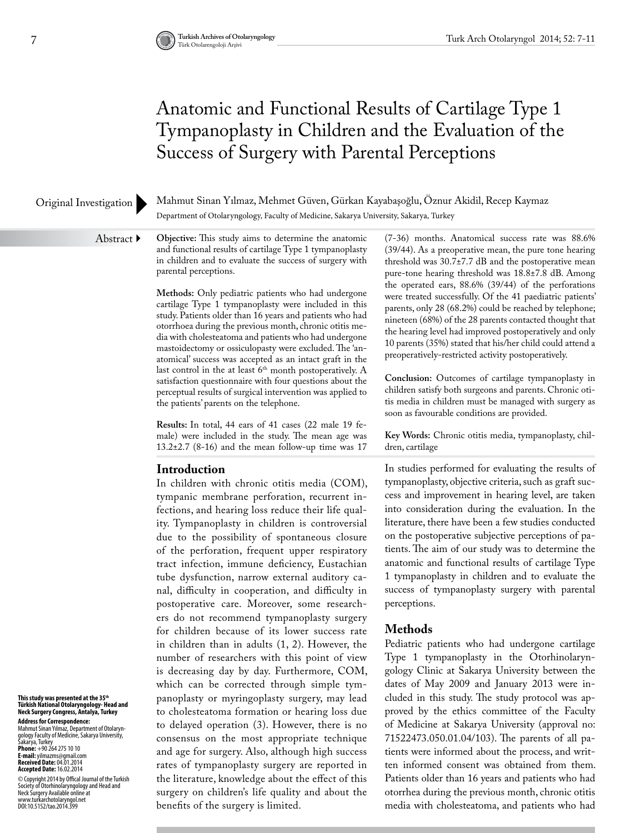## Anatomic and Functional Results of Cartilage Type 1 Tympanoplasty in Children and the Evaluation of the Success of Surgery with Parental Perceptions

#### Original Investigation

Mahmut Sinan Yılmaz, Mehmet Güven, Gürkan Kayabaşoğlu, Öznur Akidil, Recep Kaymaz Department of Otolaryngology, Faculty of Medicine, Sakarya University, Sakarya, Turkey

Abstract ▶

**Objective:** This study aims to determine the anatomic and functional results of cartilage Type 1 tympanoplasty in children and to evaluate the success of surgery with parental perceptions.

**Methods:** Only pediatric patients who had undergone cartilage Type 1 tympanoplasty were included in this study. Patients older than 16 years and patients who had otorrhoea during the previous month, chronic otitis media with cholesteatoma and patients who had undergone mastoidectomy or ossiculopasty were excluded. The 'anatomical' success was accepted as an intact graft in the last control in the at least  $6<sup>th</sup>$  month postoperatively. A satisfaction questionnaire with four questions about the perceptual results of surgical intervention was applied to the patients' parents on the telephone.

**Results:** In total, 44 ears of 41 cases (22 male 19 female) were included in the study. The mean age was  $13.2\pm2.7$  (8-16) and the mean follow-up time was 17

## **Introduction**

In children with chronic otitis media (COM), tympanic membrane perforation, recurrent infections, and hearing loss reduce their life quality. Tympanoplasty in children is controversial due to the possibility of spontaneous closure of the perforation, frequent upper respiratory tract infection, immune deficiency, Eustachian tube dysfunction, narrow external auditory canal, difficulty in cooperation, and difficulty in postoperative care. Moreover, some researchers do not recommend tympanoplasty surgery for children because of its lower success rate in children than in adults (1, 2). However, the number of researchers with this point of view is decreasing day by day. Furthermore, COM, which can be corrected through simple tympanoplasty or myringoplasty surgery, may lead to cholesteatoma formation or hearing loss due to delayed operation (3). However, there is no consensus on the most appropriate technique and age for surgery. Also, although high success rates of tympanoplasty surgery are reported in the literature, knowledge about the effect of this surgery on children's life quality and about the benefits of the surgery is limited.

(7-36) months. Anatomical success rate was 88.6% (39/44). As a preoperative mean, the pure tone hearing threshold was 30.7±7.7 dB and the postoperative mean pure-tone hearing threshold was 18.8±7.8 dB. Among the operated ears, 88.6% (39/44) of the perforations were treated successfully. Of the 41 paediatric patients' parents, only 28 (68.2%) could be reached by telephone; nineteen (68%) of the 28 parents contacted thought that the hearing level had improved postoperatively and only 10 parents (35%) stated that his/her child could attend a preoperatively-restricted activity postoperatively.

**Conclusion:** Outcomes of cartilage tympanoplasty in children satisfy both surgeons and parents. Chronic otitis media in children must be managed with surgery as soon as favourable conditions are provided.

**Key Words:** Chronic otitis media, tympanoplasty, children, cartilage

In studies performed for evaluating the results of tympanoplasty, objective criteria, such as graft success and improvement in hearing level, are taken into consideration during the evaluation. In the literature, there have been a few studies conducted on the postoperative subjective perceptions of patients. The aim of our study was to determine the anatomic and functional results of cartilage Type 1 tympanoplasty in children and to evaluate the success of tympanoplasty surgery with parental perceptions.

## **Methods**

Pediatric patients who had undergone cartilage Type 1 tympanoplasty in the Otorhinolaryngology Clinic at Sakarya University between the dates of May 2009 and January 2013 were included in this study. The study protocol was approved by the ethics committee of the Faculty of Medicine at Sakarya University (approval no: 71522473.050.01.04/103). The parents of all patients were informed about the process, and written informed consent was obtained from them. Patients older than 16 years and patients who had otorrhea during the previous month, chronic otitis media with cholesteatoma, and patients who had

**This study was presented at the 35th Türkish National Otolaryngology- Head and Neck Surgery Congress, Antalya, Turkey**

**Address for Correspondence:**  Mahmut Sinan Yılmaz, Department of Otolaryn-<br>Sakarya, Turkey<br>Sakarya, Turkey<br>**Phone:** +90 264 275 10 10<br>**Phone: +**90 264 275 10 10<br>**E-mail:** yilmazms@gmail.com **Received Date:** 04.01.2014 **Accepted Date:** 16.02.2014

© Copyright 2014 by Offical Journal of the Turkish<br>Neckety of Otorhinolaryngology and Head and<br>Neck Surgery Available online at<br>www.turkarchotolaryngol.net<br>DOI:10.5152/tao.2014.399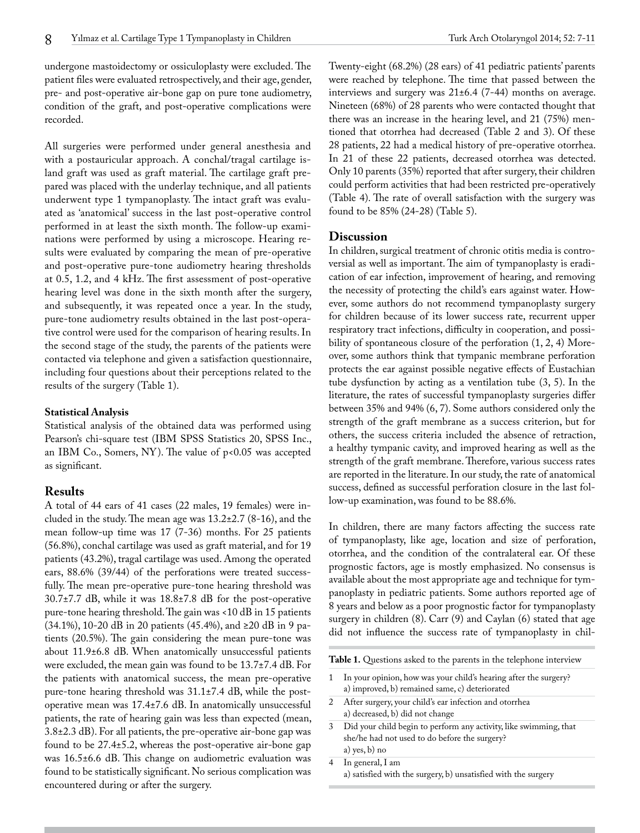undergone mastoidectomy or ossiculoplasty were excluded. The patient files were evaluated retrospectively, and their age, gender, pre- and post-operative air-bone gap on pure tone audiometry, condition of the graft, and post-operative complications were recorded.

All surgeries were performed under general anesthesia and with a postauricular approach. A conchal/tragal cartilage island graft was used as graft material. The cartilage graft prepared was placed with the underlay technique, and all patients underwent type 1 tympanoplasty. The intact graft was evaluated as 'anatomical' success in the last post-operative control performed in at least the sixth month. The follow-up examinations were performed by using a microscope. Hearing results were evaluated by comparing the mean of pre-operative and post-operative pure-tone audiometry hearing thresholds at 0.5, 1.2, and 4 kHz. The first assessment of post-operative hearing level was done in the sixth month after the surgery, and subsequently, it was repeated once a year. In the study, pure-tone audiometry results obtained in the last post-operative control were used for the comparison of hearing results. In the second stage of the study, the parents of the patients were contacted via telephone and given a satisfaction questionnaire, including four questions about their perceptions related to the results of the surgery (Table 1).

#### **Statistical Analysis**

Statistical analysis of the obtained data was performed using Pearson's chi-square test (IBM SPSS Statistics 20, SPSS Inc., an IBM Co., Somers, NY). The value of p<0.05 was accepted as significant.

## **Results**

A total of 44 ears of 41 cases (22 males, 19 females) were included in the study. The mean age was 13.2±2.7 (8-16), and the mean follow-up time was 17 (7-36) months. For 25 patients (56.8%), conchal cartilage was used as graft material, and for 19 patients (43.2%), tragal cartilage was used. Among the operated ears, 88.6% (39/44) of the perforations were treated successfully. The mean pre-operative pure-tone hearing threshold was  $30.7\pm7.7$  dB, while it was  $18.8\pm7.8$  dB for the post-operative pure-tone hearing threshold. The gain was <10 dB in 15 patients (34.1%), 10-20 dB in 20 patients (45.4%), and ≥20 dB in 9 patients (20.5%). The gain considering the mean pure-tone was about 11.9±6.8 dB. When anatomically unsuccessful patients were excluded, the mean gain was found to be 13.7±7.4 dB. For the patients with anatomical success, the mean pre-operative pure-tone hearing threshold was 31.1±7.4 dB, while the postoperative mean was 17.4±7.6 dB. In anatomically unsuccessful patients, the rate of hearing gain was less than expected (mean, 3.8±2.3 dB). For all patients, the pre-operative air-bone gap was found to be 27.4±5.2, whereas the post-operative air-bone gap was 16.5±6.6 dB. This change on audiometric evaluation was found to be statistically significant. No serious complication was encountered during or after the surgery.

Twenty-eight (68.2%) (28 ears) of 41 pediatric patients' parents were reached by telephone. The time that passed between the interviews and surgery was 21±6.4 (7-44) months on average. Nineteen (68%) of 28 parents who were contacted thought that there was an increase in the hearing level, and 21 (75%) mentioned that otorrhea had decreased (Table 2 and 3). Of these 28 patients, 22 had a medical history of pre-operative otorrhea. In 21 of these 22 patients, decreased otorrhea was detected. Only 10 parents (35%) reported that after surgery, their children could perform activities that had been restricted pre-operatively (Table 4). The rate of overall satisfaction with the surgery was found to be 85% (24-28) (Table 5).

## **Discussion**

In children, surgical treatment of chronic otitis media is controversial as well as important. The aim of tympanoplasty is eradication of ear infection, improvement of hearing, and removing the necessity of protecting the child's ears against water. However, some authors do not recommend tympanoplasty surgery for children because of its lower success rate, recurrent upper respiratory tract infections, difficulty in cooperation, and possibility of spontaneous closure of the perforation (1, 2, 4) Moreover, some authors think that tympanic membrane perforation protects the ear against possible negative effects of Eustachian tube dysfunction by acting as a ventilation tube (3, 5). In the literature, the rates of successful tympanoplasty surgeries differ between 35% and 94% (6, 7). Some authors considered only the strength of the graft membrane as a success criterion, but for others, the success criteria included the absence of retraction, a healthy tympanic cavity, and improved hearing as well as the strength of the graft membrane. Therefore, various success rates are reported in the literature. In our study, the rate of anatomical success, defined as successful perforation closure in the last follow-up examination, was found to be 88.6%.

In children, there are many factors affecting the success rate of tympanoplasty, like age, location and size of perforation, otorrhea, and the condition of the contralateral ear. Of these prognostic factors, age is mostly emphasized. No consensus is available about the most appropriate age and technique for tympanoplasty in pediatric patients. Some authors reported age of 8 years and below as a poor prognostic factor for tympanoplasty surgery in children (8). Carr (9) and Caylan (6) stated that age did not influence the success rate of tympanoplasty in chil-

**Table 1.** Questions asked to the parents in the telephone interview

- 1 In your opinion, how was your child's hearing after the surgery? a) improved, b) remained same, c) deteriorated
- 2 After surgery, your child's ear infection and otorrhea a) decreased, b) did not change
- 3 Did your child begin to perform any activity, like swimming, that she/he had not used to do before the surgery? a) yes, b) no
- 4 In general, I am a) satisfied with the surgery, b) unsatisfied with the surgery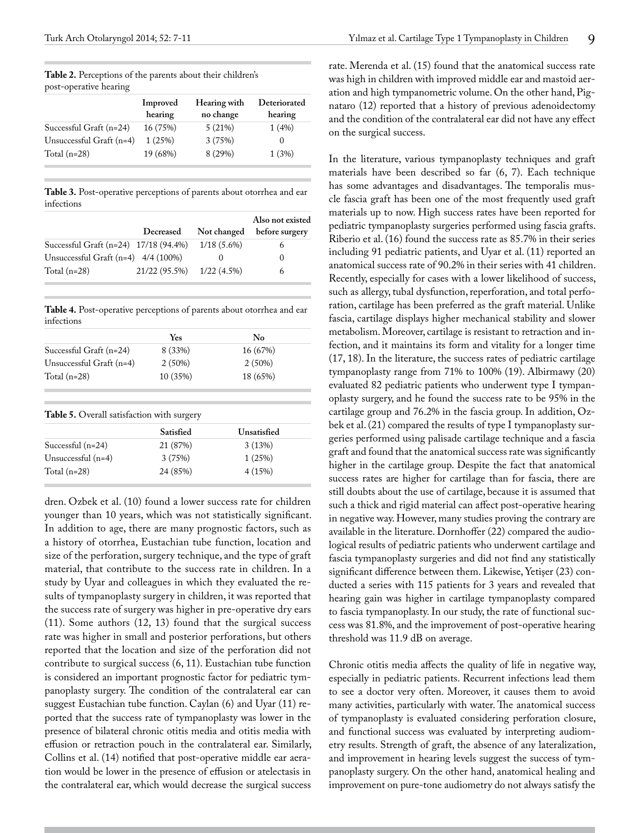|                          | Improved<br>hearing | Hearing with<br>no change | Deteriorated<br>hearing |
|--------------------------|---------------------|---------------------------|-------------------------|
| Successful Graft (n=24)  | 16 (75%)            | 5(21%)                    | 1(4%)                   |
| Unsuccessful Graft (n=4) | 1(25%)              | 3(75%)                    |                         |
| Total $(n=28)$           | 19 (68%)            | 8 (29%)                   | 1(3%)                   |

**Table 2.** Perceptions of the parents about their children's post-operative hearing

**Table 3.** Post-operative perceptions of parents about otorrhea and ear infections

|                                       |               |               | Also not existed |
|---------------------------------------|---------------|---------------|------------------|
|                                       | Decreased     | Not changed   | before surgery   |
| Successful Graft (n=24) 17/18 (94.4%) |               | $1/18(5.6\%)$ |                  |
| Unsuccessful Graft $(n=4)$ 4/4 (100%) |               |               | $\theta$         |
| Total $(n=28)$                        | 21/22 (95.5%) | $1/22(4.5\%)$ | 6                |

**Table 4.** Post-operative perceptions of parents about otorrhea and ear infections

|                          | Yes                                                            | No          |
|--------------------------|----------------------------------------------------------------|-------------|
| Successful Graft (n=24)  | 8 (33%)                                                        | 16 (67%)    |
| Unsuccessful Graft (n=4) | 2(50%)                                                         | 2(50%)      |
| Total $(n=28)$           | 10 (35%)                                                       | 18 (65%)    |
|                          |                                                                |             |
|                          | <b>Table 5.</b> Overall satisfaction with surgery<br>Satisfied | Unsatisfied |
| Successful $(n=24)$      | 21 (87%)                                                       | 3(13%)      |
| Unsuccessful $(n=4)$     | 3(75%)                                                         | 1(25%)      |

dren. Ozbek et al. (10) found a lower success rate for children younger than 10 years, which was not statistically significant. In addition to age, there are many prognostic factors, such as a history of otorrhea, Eustachian tube function, location and size of the perforation, surgery technique, and the type of graft material, that contribute to the success rate in children. In a study by Uyar and colleagues in which they evaluated the results of tympanoplasty surgery in children, it was reported that the success rate of surgery was higher in pre-operative dry ears (11). Some authors (12, 13) found that the surgical success rate was higher in small and posterior perforations, but others reported that the location and size of the perforation did not contribute to surgical success (6, 11). Eustachian tube function is considered an important prognostic factor for pediatric tympanoplasty surgery. The condition of the contralateral ear can suggest Eustachian tube function. Caylan (6) and Uyar (11) reported that the success rate of tympanoplasty was lower in the presence of bilateral chronic otitis media and otitis media with effusion or retraction pouch in the contralateral ear. Similarly, Collins et al. (14) notified that post-operative middle ear aeration would be lower in the presence of effusion or atelectasis in the contralateral ear, which would decrease the surgical success

rate. Merenda et al. (15) found that the anatomical success rate was high in children with improved middle ear and mastoid aeration and high tympanometric volume. On the other hand, Pignataro (12) reported that a history of previous adenoidectomy and the condition of the contralateral ear did not have any effect on the surgical success.

In the literature, various tympanoplasty techniques and graft materials have been described so far (6, 7). Each technique has some advantages and disadvantages. The temporalis muscle fascia graft has been one of the most frequently used graft materials up to now. High success rates have been reported for pediatric tympanoplasty surgeries performed using fascia grafts. Riberio et al. (16) found the success rate as 85.7% in their series including 91 pediatric patients, and Uyar et al. (11) reported an anatomical success rate of 90.2% in their series with 41 children. Recently, especially for cases with a lower likelihood of success, such as allergy, tubal dysfunction, reperforation, and total perforation, cartilage has been preferred as the graft material. Unlike fascia, cartilage displays higher mechanical stability and slower metabolism. Moreover, cartilage is resistant to retraction and infection, and it maintains its form and vitality for a longer time (17, 18). In the literature, the success rates of pediatric cartilage tympanoplasty range from 71% to 100% (19). Albirmawy (20) evaluated 82 pediatric patients who underwent type I tympanoplasty surgery, and he found the success rate to be 95% in the cartilage group and 76.2% in the fascia group. In addition, Ozbek et al. (21) compared the results of type I tympanoplasty surgeries performed using palisade cartilage technique and a fascia graft and found that the anatomical success rate was significantly higher in the cartilage group. Despite the fact that anatomical success rates are higher for cartilage than for fascia, there are still doubts about the use of cartilage, because it is assumed that such a thick and rigid material can affect post-operative hearing in negative way. However, many studies proving the contrary are available in the literature. Dornhoffer (22) compared the audiological results of pediatric patients who underwent cartilage and fascia tympanoplasty surgeries and did not find any statistically significant difference between them. Likewise, Yetişer (23) conducted a series with 115 patients for 3 years and revealed that hearing gain was higher in cartilage tympanoplasty compared to fascia tympanoplasty. In our study, the rate of functional success was 81.8%, and the improvement of post-operative hearing threshold was 11.9 dB on average.

Chronic otitis media affects the quality of life in negative way, especially in pediatric patients. Recurrent infections lead them to see a doctor very often. Moreover, it causes them to avoid many activities, particularly with water. The anatomical success of tympanoplasty is evaluated considering perforation closure, and functional success was evaluated by interpreting audiometry results. Strength of graft, the absence of any lateralization, and improvement in hearing levels suggest the success of tympanoplasty surgery. On the other hand, anatomical healing and improvement on pure-tone audiometry do not always satisfy the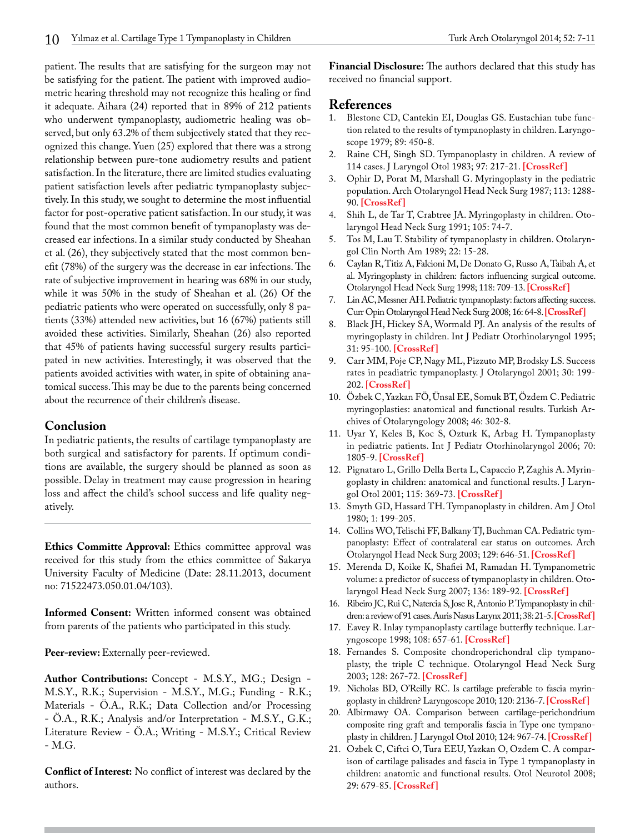patient. The results that are satisfying for the surgeon may not be satisfying for the patient. The patient with improved audiometric hearing threshold may not recognize this healing or find it adequate. Aihara (24) reported that in 89% of 212 patients who underwent tympanoplasty, audiometric healing was observed, but only 63.2% of them subjectively stated that they recognized this change. Yuen (25) explored that there was a strong relationship between pure-tone audiometry results and patient satisfaction. In the literature, there are limited studies evaluating patient satisfaction levels after pediatric tympanoplasty subjectively. In this study, we sought to determine the most influential factor for post-operative patient satisfaction. In our study, it was found that the most common benefit of tympanoplasty was decreased ear infections. In a similar study conducted by Sheahan et al. (26), they subjectively stated that the most common benefit (78%) of the surgery was the decrease in ear infections. The rate of subjective improvement in hearing was 68% in our study, while it was 50% in the study of Sheahan et al. (26) Of the pediatric patients who were operated on successfully, only 8 patients (33%) attended new activities, but 16 (67%) patients still avoided these activities. Similarly, Sheahan (26) also reported that 45% of patients having successful surgery results participated in new activities. Interestingly, it was observed that the patients avoided activities with water, in spite of obtaining anatomical success. This may be due to the parents being concerned about the recurrence of their children's disease.

## **Conclusion**

In pediatric patients, the results of cartilage tympanoplasty are both surgical and satisfactory for parents. If optimum conditions are available, the surgery should be planned as soon as possible. Delay in treatment may cause progression in hearing loss and affect the child's school success and life quality negatively.

**Ethics Committe Approval:** Ethics committee approval was received for this study from the ethics committee of Sakarya University Faculty of Medicine (Date: 28.11.2013, document no: 71522473.050.01.04/103).

**Informed Consent:** Written informed consent was obtained from parents of the patients who participated in this study.

Peer-review: Externally peer-reviewed.

**Author Contributions:** Concept - M.S.Y., MG.; Design - M.S.Y., R.K.; Supervision - M.S.Y., M.G.; Funding - R.K.; Materials - Ö.A., R.K.; Data Collection and/or Processing - Ö.A., R.K.; Analysis and/or Interpretation - M.S.Y., G.K.; Literature Review - Ö.A.; Writing - M.S.Y.; Critical Review - M.G.

**Conflict of Interest:** No conflict of interest was declared by the authors.

**Financial Disclosure:** The authors declared that this study has received no financial support.

# **References**<br>1. Blestone CI

- Blestone CD, Cantekin EI, Douglas GS. Eustachian tube function related to the results of tympanoplasty in children. Laryngoscope 1979; 89: 450-8.
- 2. Raine CH, Singh SD. Tympanoplasty in children. A review of 114 cases. J Laryngol Otol 1983; 97: 217-21. **[[CrossRef](http://dx.doi.org/10.1017/S0022215100094032) ]**
- 3. Ophir D, Porat M, Marshall G. Myringoplasty in the pediatric population. Arch Otolaryngol Head Neck Surg 1987; 113: 1288- 90. **[[CrossRef](http://dx.doi.org/10.1001/archotol.1987.01860120034003) ]**
- 4. Shih L, de Tar T, Crabtree JA. Myringoplasty in children. Otolaryngol Head Neck Surg 1991; 105: 74-7.
- 5. Tos M, Lau T. Stability of tympanoplasty in children. Otolaryngol Clin North Am 1989; 22: 15-28.
- 6. Caylan R, Titiz A, Falcioni M, De Donato G, Russo A, Taibah A, et al. Myringoplasty in children: factors influencing surgical outcome. Otolaryngol Head Neck Surg 1998; 118: 709-13. **[[CrossRef \]](http://dx.doi.org/10.1177/019459989811800529)**
- 7. Lin AC, Messner AH. Pediatric tympanoplasty: factors affecting success. Curr Opin Otolaryngol Head Neck Surg 2008; 16: 64-8. **[\[CrossRef](http://dx.doi.org/10.1097/MOO.0b013e3282f43430)]**
- 8. Black JH, Hickey SA, Wormald PJ. An analysis of the results of myringoplasty in children. Int J Pediatr Otorhinolaryngol 1995; 31: 95-100. **[[CrossRef](http://dx.doi.org/10.1016/0165-5876(94)01067-8) ]**
- 9. Carr MM, Poje CP, Nagy ML, Pizzuto MP, Brodsky LS. Success rates in peadiatric tympanoplasty. J Otolaryngol 2001; 30: 199- 202. **[\[CrossRef \]](http://dx.doi.org/10.2310/7070.2001.19703)**
- 10. Özbek C, Yazkan FÖ, Ünsal EE, Somuk BT, Özdem C. Pediatric myringoplasties: anatomical and functional results. Turkish Archives of Otolaryngology 2008; 46: 302-8.
- 11. Uyar Y, Keles B, Koc S, Ozturk K, Arbag H. Tympanoplasty in pediatric patients. Int J Pediatr Otorhinolaryngol 2006; 70: 1805-9. **[\[CrossRef \]](http://dx.doi.org/10.1016/j.ijporl.2006.06.007)**
- 12. Pignataro L, Grillo Della Berta L, Capaccio P, Zaghis A. Myringoplasty in children: anatomical and functional results. J Laryngol Otol 2001; 115: 369-73. **[[CrossRef](http://dx.doi.org/10.1258/0022215011907893) ]**
- 13. Smyth GD, Hassard TH. Tympanoplasty in children. Am J Otol 1980; 1: 199-205.
- 14. Collins WO, Telischi FF, Balkany TJ, Buchman CA. Pediatric tympanoplasty: Effect of contralateral ear status on outcomes. Arch Otolaryngol Head Neck Surg 2003; 129: 646-51. **[\[CrossRef \]](http://dx.doi.org/10.1001/archotol.129.6.646)**
- 15. Merenda D, Koike K, Shafiei M, Ramadan H. Tympanometric volume: a predictor of success of tympanoplasty in children. Otolaryngol Head Neck Surg 2007; 136: 189-92. **[\[CrossRef \]](http://dx.doi.org/10.1016/j.otohns.2006.10.036)**
- 16. Ribeiro JC, Rui C, Natercia S, Jose R, Antonio P. Tympanoplasty in children: a review of 91 cases. Auris Nasus Larynx 2011; 38: 21-5. **[[CrossRef\]](http://dx.doi.org/10.1016/j.anl.2010.05.004)**
- 17. Eavey R. Inlay tympanoplasty cartilage butterfly technique. Laryngoscope 1998; 108: 657-61. **[[CrossRef](http://dx.doi.org/10.1097/00005537-199805000-00006) ]**
- 18. Fernandes S. Composite chondroperichondral clip tympanoplasty, the triple C technique. Otolaryngol Head Neck Surg 2003; 128: 267-72. **[\[CrossRef \]](http://dx.doi.org/10.1067/mhn.2003.88)**
- 19. Nicholas BD, O'Reilly RC. Is cartilage preferable to fascia myringoplasty in children? Laryngoscope 2010; 120: 2136-7. **[\[CrossRef](http://dx.doi.org/10.1002/lary.21006) ]**
- 20. Albirmawy OA. Comparison between cartilage-perichondrium composite ring graft and temporalis fascia in Type one tympanoplasty in children. J Laryngol Otol 2010; 124: 967-74. **[[CrossRef \]](http://dx.doi.org/10.1017/S0022215110000885)**
- 21. Ozbek C, Ciftci O, Tura EEU, Yazkan O, Ozdem C. A comparison of cartilage palisades and fascia in Type 1 tympanoplasty in children: anatomic and functional results. Otol Neurotol 2008; 29: 679-85. **[[CrossRef](http://dx.doi.org/10.1097/MAO.0b013e31817dad57) ]**